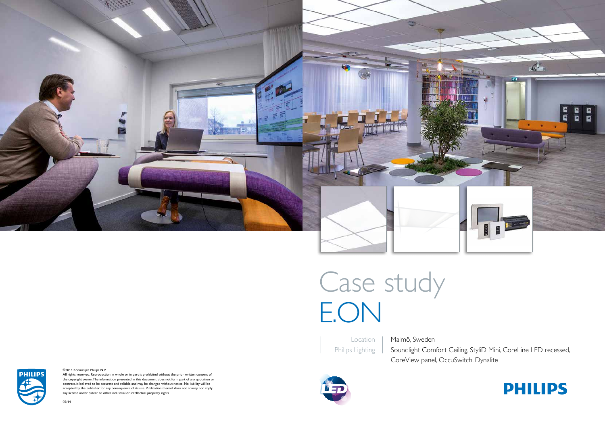

# Case study E.ON

All rights reserved. Reproduction in whole or in part is prohibited without the prior written consent of the copyright owner. The information presented in this document does not form part of any quotation or contract, is believed to be accurate and reliable and may be changed without notice. No liability will be accepted by the publisher for any consequence of its use. Publication thereof does not convey nor imply any license under patent or other industrial or intellectual property rights.

#### ©2014 Koninklijke Philips N.V.

02/14

**PHILIPS** 

Location Philips Lighting

Soundlight Comfort Ceiling, StyliD Mini, CoreLine LED recessed,



Malmö, Sweden CoreView panel, OccuSwitch, Dynalite